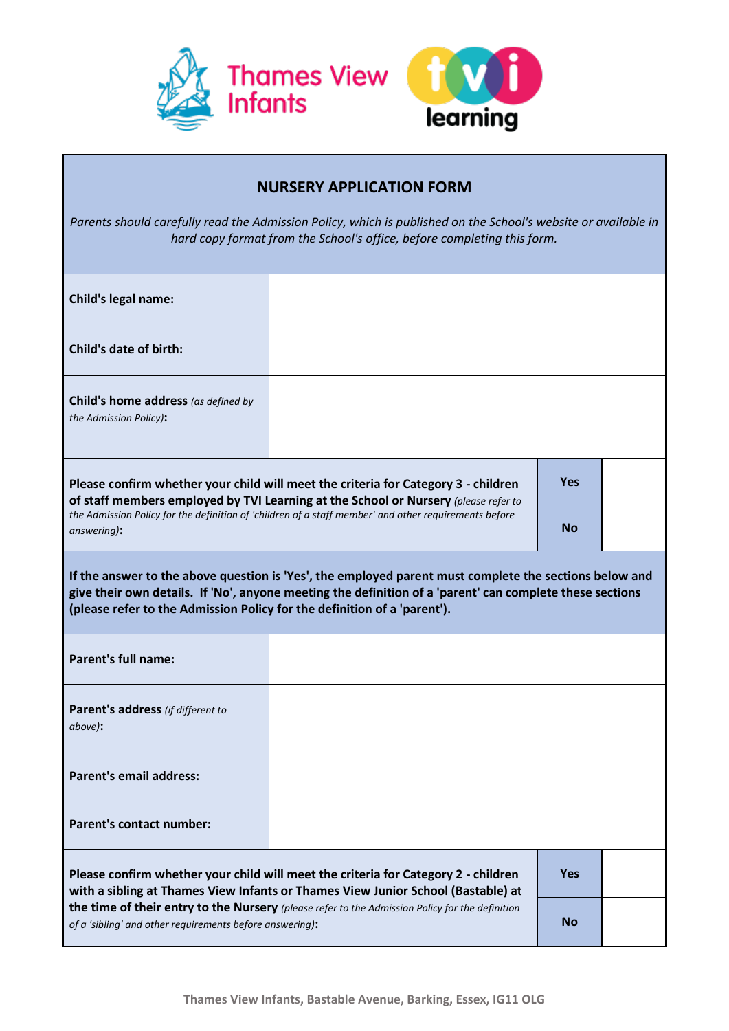

## **NURSERY APPLICATION FORM**

*Parents should carefully read the Admission Policy, which is published on the School's website or available in hard copy format from the School's office, before completing this form.*

| <b>Child's legal name:</b>                                                                                                                                                                                                                                                                                                            |  |            |  |  |  |
|---------------------------------------------------------------------------------------------------------------------------------------------------------------------------------------------------------------------------------------------------------------------------------------------------------------------------------------|--|------------|--|--|--|
| <b>Child's date of birth:</b>                                                                                                                                                                                                                                                                                                         |  |            |  |  |  |
| Child's home address (as defined by<br>the Admission Policy):                                                                                                                                                                                                                                                                         |  |            |  |  |  |
| Please confirm whether your child will meet the criteria for Category 3 - children<br>of staff members employed by TVI Learning at the School or Nursery (please refer to<br>the Admission Policy for the definition of 'children of a staff member' and other requirements before<br>answering):                                     |  | <b>Yes</b> |  |  |  |
|                                                                                                                                                                                                                                                                                                                                       |  | <b>No</b>  |  |  |  |
| If the answer to the above question is 'Yes', the employed parent must complete the sections below and<br>give their own details. If 'No', anyone meeting the definition of a 'parent' can complete these sections<br>(please refer to the Admission Policy for the definition of a 'parent').                                        |  |            |  |  |  |
| Parent's full name:                                                                                                                                                                                                                                                                                                                   |  |            |  |  |  |
| Parent's address (if different to<br>above):                                                                                                                                                                                                                                                                                          |  |            |  |  |  |
| <b>Parent's email address:</b>                                                                                                                                                                                                                                                                                                        |  |            |  |  |  |
| <b>Parent's contact number:</b>                                                                                                                                                                                                                                                                                                       |  |            |  |  |  |
| Please confirm whether your child will meet the criteria for Category 2 - children<br>with a sibling at Thames View Infants or Thames View Junior School (Bastable) at<br>the time of their entry to the Nursery (please refer to the Admission Policy for the definition<br>of a 'sibling' and other requirements before answering): |  | <b>Yes</b> |  |  |  |
|                                                                                                                                                                                                                                                                                                                                       |  | <b>No</b>  |  |  |  |